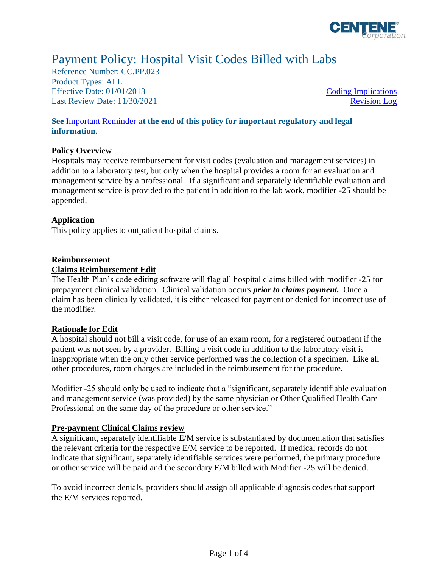

# Payment Policy: Hospital Visit Codes Billed with Labs

Reference Number: CC.PP.023 Product Types: ALL Effective Date:  $01/01/2013$  [Coding Implications](#page-1-0) Last Review Date: 11/30/2021 [Revision Log](#page-2-0)

## **See** [Important Reminder](#page-2-1) **at the end of this policy for important regulatory and legal information.**

#### **Policy Overview**

Hospitals may receive reimbursement for visit codes (evaluation and management services) in addition to a laboratory test, but only when the hospital provides a room for an evaluation and management service by a professional. If a significant and separately identifiable evaluation and management service is provided to the patient in addition to the lab work, modifier -25 should be appended.

## **Application**

This policy applies to outpatient hospital claims.

## **Reimbursement**

## **Claims Reimbursement Edit**

The Health Plan's code editing software will flag all hospital claims billed with modifier -25 for prepayment clinical validation. Clinical validation occurs *prior to claims payment.* Once a claim has been clinically validated, it is either released for payment or denied for incorrect use of the modifier.

#### **Rationale for Edit**

A hospital should not bill a visit code, for use of an exam room, for a registered outpatient if the patient was not seen by a provider. Billing a visit code in addition to the laboratory visit is inappropriate when the only other service performed was the collection of a specimen. Like all other procedures, room charges are included in the reimbursement for the procedure.

Modifier -25 should only be used to indicate that a "significant, separately identifiable evaluation and management service (was provided) by the same physician or Other Qualified Health Care Professional on the same day of the procedure or other service."

## **Pre-payment Clinical Claims review**

A significant, separately identifiable E/M service is substantiated by documentation that satisfies the relevant criteria for the respective E/M service to be reported. If medical records do not indicate that significant, separately identifiable services were performed, the primary procedure or other service will be paid and the secondary E/M billed with Modifier -25 will be denied.

To avoid incorrect denials, providers should assign all applicable diagnosis codes that support the E/M services reported.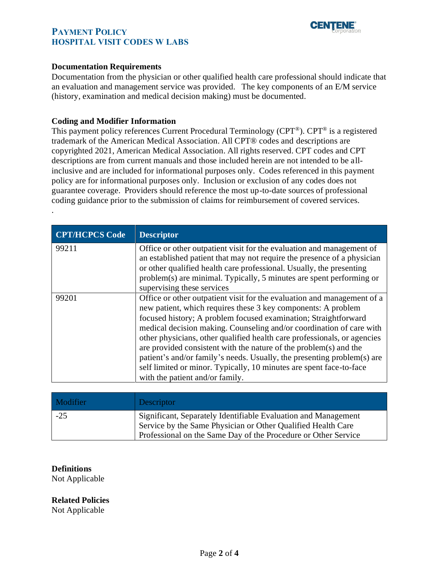



#### **Documentation Requirements**

Documentation from the physician or other qualified health care professional should indicate that an evaluation and management service was provided. The key components of an E/M service (history, examination and medical decision making) must be documented.

#### <span id="page-1-0"></span>**Coding and Modifier Information**

This payment policy references Current Procedural Terminology (CPT®). CPT® is a registered trademark of the American Medical Association. All CPT® codes and descriptions are copyrighted 2021, American Medical Association. All rights reserved. CPT codes and CPT descriptions are from current manuals and those included herein are not intended to be allinclusive and are included for informational purposes only. Codes referenced in this payment policy are for informational purposes only. Inclusion or exclusion of any codes does not guarantee coverage. Providers should reference the most up-to-date sources of professional coding guidance prior to the submission of claims for reimbursement of covered services.

| <b>CPT/HCPCS Code</b> | <b>Descriptor</b>                                                                                                                                                                                                                                                                                                                                                                                                                                                                                                                                                                                                         |
|-----------------------|---------------------------------------------------------------------------------------------------------------------------------------------------------------------------------------------------------------------------------------------------------------------------------------------------------------------------------------------------------------------------------------------------------------------------------------------------------------------------------------------------------------------------------------------------------------------------------------------------------------------------|
| 99211                 | Office or other outpatient visit for the evaluation and management of<br>an established patient that may not require the presence of a physician<br>or other qualified health care professional. Usually, the presenting<br>problem(s) are minimal. Typically, 5 minutes are spent performing or<br>supervising these services                                                                                                                                                                                                                                                                                            |
| 99201                 | Office or other outpatient visit for the evaluation and management of a<br>new patient, which requires these 3 key components: A problem<br>focused history; A problem focused examination; Straightforward<br>medical decision making. Counseling and/or coordination of care with<br>other physicians, other qualified health care professionals, or agencies<br>are provided consistent with the nature of the problem(s) and the<br>patient's and/or family's needs. Usually, the presenting problem(s) are<br>self limited or minor. Typically, 10 minutes are spent face-to-face<br>with the patient and/or family. |

| Modifier | <b>Descriptor</b>                                                                                                                                                                                |
|----------|--------------------------------------------------------------------------------------------------------------------------------------------------------------------------------------------------|
| $-25$    | Significant, Separately Identifiable Evaluation and Management<br>Service by the Same Physician or Other Qualified Health Care<br>Professional on the Same Day of the Procedure or Other Service |

#### **Definitions**

.

Not Applicable

**Related Policies**

Not Applicable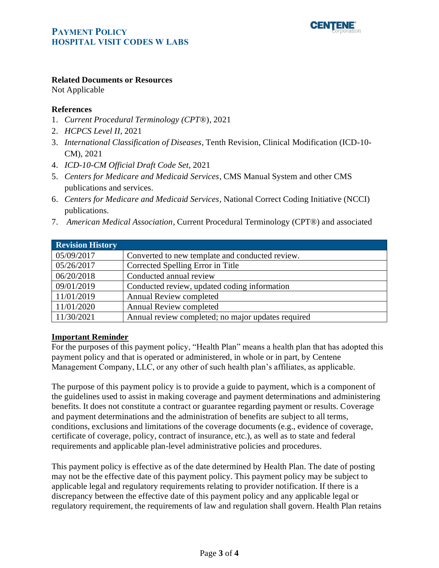

#### **Related Documents or Resources**

Not Applicable

#### **References**

- 1. *Current Procedural Terminology (CPT*®), 2021
- 2. *HCPCS Level II*, 2021
- 3. *International Classification of Diseases*, Tenth Revision, Clinical Modification (ICD-10- CM), 2021
- 4. *ICD-10-CM Official Draft Code Set*, 2021
- 5. *Centers for Medicare and Medicaid Services*, CMS Manual System and other CMS publications and services.
- 6. *Centers for Medicare and Medicaid Services*, National Correct Coding Initiative (NCCI) publications.
- 7. *American Medical Association*, Current Procedural Terminology (CPT®) and associated

<span id="page-2-0"></span>

| <b>Revision History</b> |                                                    |
|-------------------------|----------------------------------------------------|
| 05/09/2017              | Converted to new template and conducted review.    |
| 05/26/2017              | Corrected Spelling Error in Title                  |
| 06/20/2018              | Conducted annual review                            |
| 09/01/2019              | Conducted review, updated coding information       |
| 11/01/2019              | <b>Annual Review completed</b>                     |
| 11/01/2020              | <b>Annual Review completed</b>                     |
| 11/30/2021              | Annual review completed; no major updates required |

#### <span id="page-2-1"></span>**Important Reminder**

For the purposes of this payment policy, "Health Plan" means a health plan that has adopted this payment policy and that is operated or administered, in whole or in part, by Centene Management Company, LLC, or any other of such health plan's affiliates, as applicable.

The purpose of this payment policy is to provide a guide to payment, which is a component of the guidelines used to assist in making coverage and payment determinations and administering benefits. It does not constitute a contract or guarantee regarding payment or results. Coverage and payment determinations and the administration of benefits are subject to all terms, conditions, exclusions and limitations of the coverage documents (e.g., evidence of coverage, certificate of coverage, policy, contract of insurance, etc.), as well as to state and federal requirements and applicable plan-level administrative policies and procedures.

This payment policy is effective as of the date determined by Health Plan. The date of posting may not be the effective date of this payment policy. This payment policy may be subject to applicable legal and regulatory requirements relating to provider notification. If there is a discrepancy between the effective date of this payment policy and any applicable legal or regulatory requirement, the requirements of law and regulation shall govern. Health Plan retains